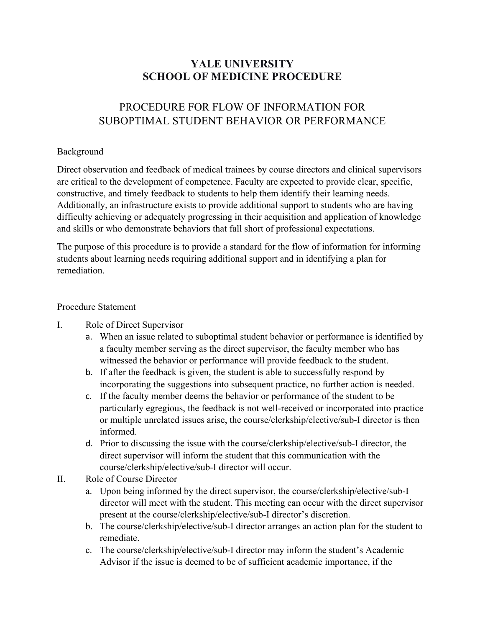## **YALE UNIVERSITY SCHOOL OF MEDICINE PROCEDURE**

## PROCEDURE FOR FLOW OF INFORMATION FOR SUBOPTIMAL STUDENT BEHAVIOR OR PERFORMANCE

## Background

Direct observation and feedback of medical trainees by course directors and clinical supervisors are critical to the development of competence. Faculty are expected to provide clear, specific, constructive, and timely feedback to students to help them identify their learning needs. Additionally, an infrastructure exists to provide additional support to students who are having difficulty achieving or adequately progressing in their acquisition and application of knowledge and skills or who demonstrate behaviors that fall short of professional expectations.

The purpose of this procedure is to provide a standard for the flow of information for informing students about learning needs requiring additional support and in identifying a plan for remediation.

## Procedure Statement

- I. Role of Direct Supervisor
	- a. When an issue related to suboptimal student behavior or performance is identified by a faculty member serving as the direct supervisor, the faculty member who has witnessed the behavior or performance will provide feedback to the student.
	- b. If after the feedback is given, the student is able to successfully respond by incorporating the suggestions into subsequent practice, no further action is needed.
	- c. If the faculty member deems the behavior or performance of the student to be particularly egregious, the feedback is not well-received or incorporated into practice or multiple unrelated issues arise, the course/clerkship/elective/sub-I director is then informed.
	- d. Prior to discussing the issue with the course/clerkship/elective/sub-I director, the direct supervisor will inform the student that this communication with the course/clerkship/elective/sub-I director will occur.
- II. Role of Course Director
	- a. Upon being informed by the direct supervisor, the course/clerkship/elective/sub-I director will meet with the student. This meeting can occur with the direct supervisor present at the course/clerkship/elective/sub-I director's discretion.
	- b. The course/clerkship/elective/sub-I director arranges an action plan for the student to remediate.
	- c. The course/clerkship/elective/sub-I director may inform the student's Academic Advisor if the issue is deemed to be of sufficient academic importance, if the